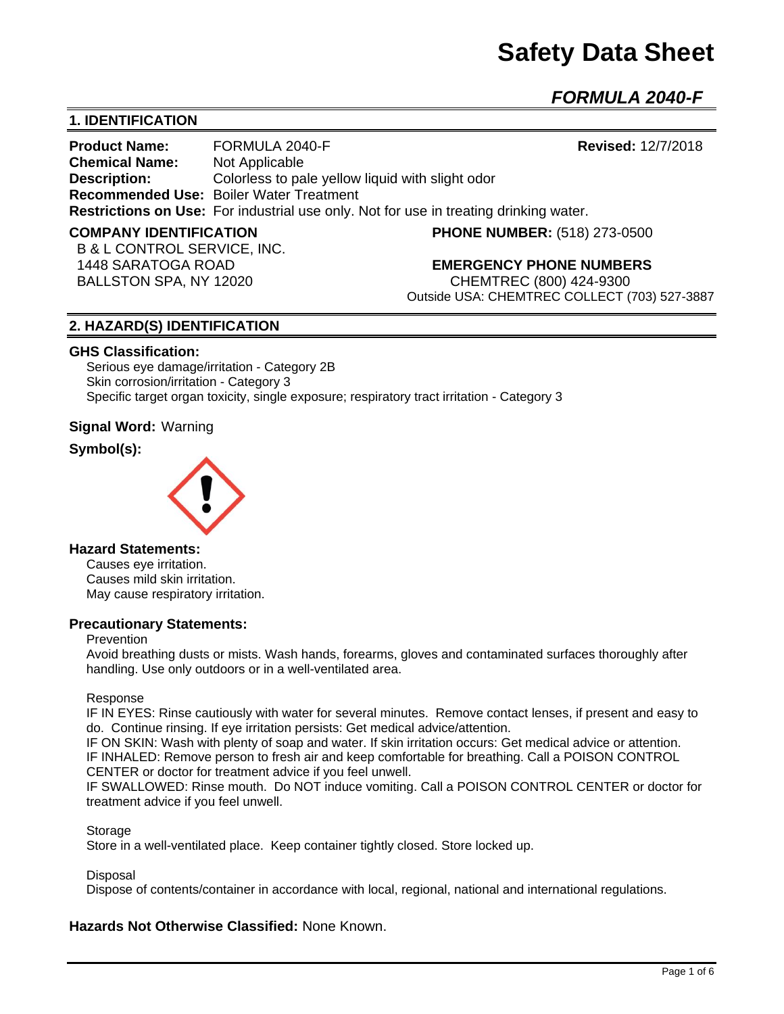# **Safety Data Sheet**

*FORMULA 2040-F*

### **1. IDENTIFICATION**

**Product Name:** FORMULA 2040-F **Revised:** 12/7/2018 **Chemical Name:** Not Applicable **Description:** Colorless to pale yellow liquid with slight odor **Recommended Use:** Boiler Water Treatment **Restrictions on Use:** For industrial use only. Not for use in treating drinking water.

**COMPANY IDENTIFICATION PHONE NUMBER:** (518) 273-0500

 B & L CONTROL SERVICE, INC. BALLSTON SPA, NY 12020 CHEMTREC (800) 424-9300

1448 SARATOGA ROAD **EMERGENCY PHONE NUMBERS**

Outside USA: CHEMTREC COLLECT (703) 527-3887

#### **2. HAZARD(S) IDENTIFICATION**

#### **GHS Classification:**

Serious eye damage/irritation - Category 2B Skin corrosion/irritation - Category 3 Specific target organ toxicity, single exposure; respiratory tract irritation - Category 3

**Signal Word:** Warning

#### **Symbol(s):**



#### **Hazard Statements:**

Causes eye irritation. Causes mild skin irritation. May cause respiratory irritation.

#### **Precautionary Statements:**

#### Prevention

Avoid breathing dusts or mists. Wash hands, forearms, gloves and contaminated surfaces thoroughly after handling. Use only outdoors or in a well-ventilated area.

#### Response

IF IN EYES: Rinse cautiously with water for several minutes. Remove contact lenses, if present and easy to do. Continue rinsing. If eye irritation persists: Get medical advice/attention.

IF ON SKIN: Wash with plenty of soap and water. If skin irritation occurs: Get medical advice or attention. IF INHALED: Remove person to fresh air and keep comfortable for breathing. Call a POISON CONTROL CENTER or doctor for treatment advice if you feel unwell.

IF SWALLOWED: Rinse mouth. Do NOT induce vomiting. Call a POISON CONTROL CENTER or doctor for treatment advice if you feel unwell.

**Storage** 

Store in a well-ventilated place. Keep container tightly closed. Store locked up.

#### **Disposal**

Dispose of contents/container in accordance with local, regional, national and international regulations.

#### **Hazards Not Otherwise Classified:** None Known.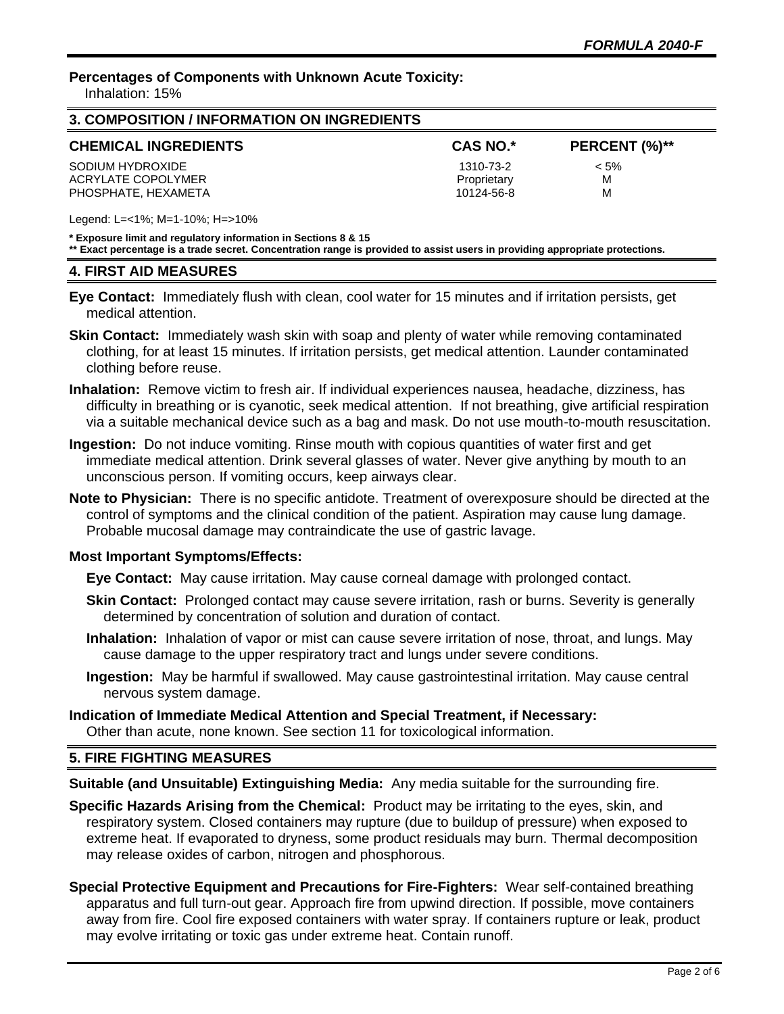**Percentages of Components with Unknown Acute Toxicity:** 

Inhalation: 15%

| 3. COMPOSITION / INFORMATION ON INGREDIENTS |                 |               |  |  |
|---------------------------------------------|-----------------|---------------|--|--|
| <b>CHEMICAL INGREDIENTS</b>                 | <b>CAS NO.*</b> | PERCENT (%)** |  |  |
| SODIUM HYDROXIDE                            | 1310-73-2       | $< 5\%$       |  |  |
| ACRYLATE COPOLYMER                          | Proprietary     | M             |  |  |
| PHOSPHATE. HEXAMETA                         | 10124-56-8      | м             |  |  |

Legend: L=<1%; M=1-10%; H=>10%

**\* Exposure limit and regulatory information in Sections 8 & 15**

**\*\* Exact percentage is a trade secret. Concentration range is provided to assist users in providing appropriate protections.**

#### **4. FIRST AID MEASURES**

**Eye Contact:** Immediately flush with clean, cool water for 15 minutes and if irritation persists, get medical attention.

- **Skin Contact:** Immediately wash skin with soap and plenty of water while removing contaminated clothing, for at least 15 minutes. If irritation persists, get medical attention. Launder contaminated clothing before reuse.
- **Inhalation:** Remove victim to fresh air. If individual experiences nausea, headache, dizziness, has difficulty in breathing or is cyanotic, seek medical attention. If not breathing, give artificial respiration via a suitable mechanical device such as a bag and mask. Do not use mouth-to-mouth resuscitation.
- **Ingestion:** Do not induce vomiting. Rinse mouth with copious quantities of water first and get immediate medical attention. Drink several glasses of water. Never give anything by mouth to an unconscious person. If vomiting occurs, keep airways clear.
- **Note to Physician:** There is no specific antidote. Treatment of overexposure should be directed at the control of symptoms and the clinical condition of the patient. Aspiration may cause lung damage. Probable mucosal damage may contraindicate the use of gastric lavage.

#### **Most Important Symptoms/Effects:**

**Eye Contact:** May cause irritation. May cause corneal damage with prolonged contact.

- **Skin Contact:** Prolonged contact may cause severe irritation, rash or burns. Severity is generally determined by concentration of solution and duration of contact.
- **Inhalation:** Inhalation of vapor or mist can cause severe irritation of nose, throat, and lungs. May cause damage to the upper respiratory tract and lungs under severe conditions.
- **Ingestion:** May be harmful if swallowed. May cause gastrointestinal irritation. May cause central nervous system damage.

## **Indication of Immediate Medical Attention and Special Treatment, if Necessary:**

Other than acute, none known. See section 11 for toxicological information.

#### **5. FIRE FIGHTING MEASURES**

**Suitable (and Unsuitable) Extinguishing Media:** Any media suitable for the surrounding fire.

- **Specific Hazards Arising from the Chemical:** Product may be irritating to the eyes, skin, and respiratory system. Closed containers may rupture (due to buildup of pressure) when exposed to extreme heat. If evaporated to dryness, some product residuals may burn. Thermal decomposition may release oxides of carbon, nitrogen and phosphorous.
- **Special Protective Equipment and Precautions for Fire-Fighters:** Wear self-contained breathing apparatus and full turn-out gear. Approach fire from upwind direction. If possible, move containers away from fire. Cool fire exposed containers with water spray. If containers rupture or leak, product may evolve irritating or toxic gas under extreme heat. Contain runoff.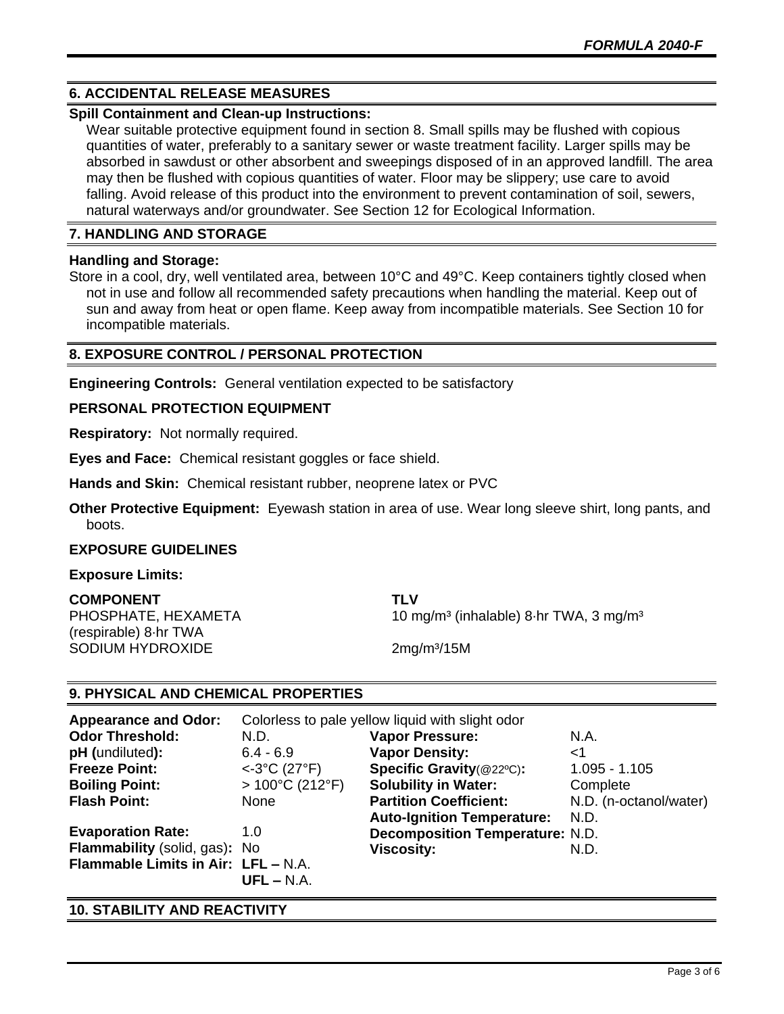#### **6. ACCIDENTAL RELEASE MEASURES**

#### **Spill Containment and Clean-up Instructions:**

Wear suitable protective equipment found in section 8. Small spills may be flushed with copious quantities of water, preferably to a sanitary sewer or waste treatment facility. Larger spills may be absorbed in sawdust or other absorbent and sweepings disposed of in an approved landfill. The area may then be flushed with copious quantities of water. Floor may be slippery; use care to avoid falling. Avoid release of this product into the environment to prevent contamination of soil, sewers, natural waterways and/or groundwater. See Section 12 for Ecological Information.

#### **7. HANDLING AND STORAGE**

#### **Handling and Storage:**

Store in a cool, dry, well ventilated area, between 10°C and 49°C. Keep containers tightly closed when not in use and follow all recommended safety precautions when handling the material. Keep out of sun and away from heat or open flame. Keep away from incompatible materials. See Section 10 for incompatible materials.

#### **8. EXPOSURE CONTROL / PERSONAL PROTECTION**

**Engineering Controls:** General ventilation expected to be satisfactory

#### **PERSONAL PROTECTION EQUIPMENT**

**Respiratory:** Not normally required.

**Eyes and Face:** Chemical resistant goggles or face shield.

**Hands and Skin:** Chemical resistant rubber, neoprene latex or PVC

**Other Protective Equipment:** Eyewash station in area of use. Wear long sleeve shirt, long pants, and boots.

#### **EXPOSURE GUIDELINES**

#### **Exposure Limits:**

**COMPONENT TLV** (respirable) 8·hr TWA SODIUM HYDROXIDE 2mg/m<sup>3</sup>/15M

PHOSPHATE, HEXAMETA 10 mg/m<sup>3</sup> (inhalable) 8-hr TWA, 3 mg/m<sup>3</sup>

#### **9. PHYSICAL AND CHEMICAL PROPERTIES**

| <b>Appearance and Odor:</b>         | Colorless to pale yellow liquid with slight odor |                                        |                        |
|-------------------------------------|--------------------------------------------------|----------------------------------------|------------------------|
| <b>Odor Threshold:</b>              | N.D.                                             | <b>Vapor Pressure:</b>                 | N.A.                   |
| pH (undiluted):                     | $6.4 - 6.9$                                      | <b>Vapor Density:</b>                  | $<$ 1                  |
| <b>Freeze Point:</b>                | $< 3^{\circ}C$ (27 $^{\circ}F$ )                 | Specific Gravity(@22°C):               | $1.095 - 1.105$        |
| <b>Boiling Point:</b>               | $>100^{\circ}$ C (212 $^{\circ}$ F)              | <b>Solubility in Water:</b>            | Complete               |
| <b>Flash Point:</b>                 | None                                             | <b>Partition Coefficient:</b>          | N.D. (n-octanol/water) |
|                                     |                                                  | <b>Auto-Ignition Temperature:</b>      | N.D.                   |
| <b>Evaporation Rate:</b>            | 1.0                                              | <b>Decomposition Temperature: N.D.</b> |                        |
| Flammability (solid, gas): No       |                                                  | <b>Viscosity:</b>                      | N.D.                   |
| Flammable Limits in Air: LFL - N.A. |                                                  |                                        |                        |
|                                     | $UFL - N.A.$                                     |                                        |                        |

#### **10. STABILITY AND REACTIVITY**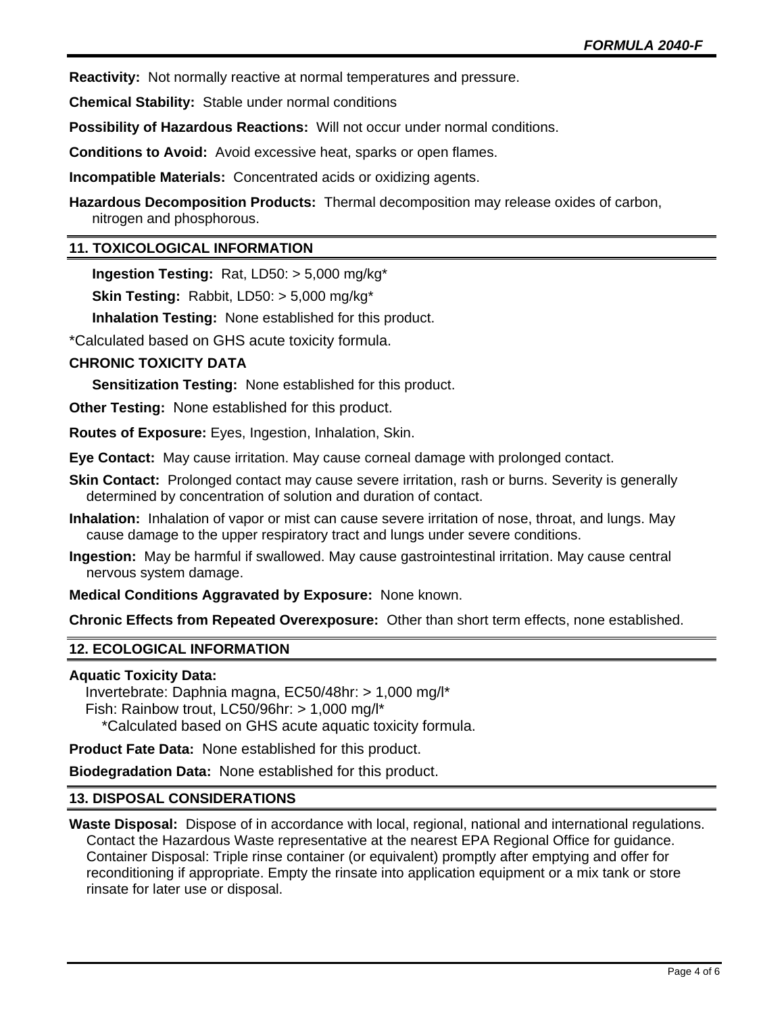**Reactivity:** Not normally reactive at normal temperatures and pressure.

**Chemical Stability:** Stable under normal conditions

**Possibility of Hazardous Reactions:** Will not occur under normal conditions.

**Conditions to Avoid:** Avoid excessive heat, sparks or open flames.

**Incompatible Materials:** Concentrated acids or oxidizing agents.

**Hazardous Decomposition Products:** Thermal decomposition may release oxides of carbon, nitrogen and phosphorous.

#### **11. TOXICOLOGICAL INFORMATION**

**Ingestion Testing:** Rat, LD50: > 5,000 mg/kg\*

**Skin Testing:** Rabbit, LD50: > 5,000 mg/kg\*

**Inhalation Testing:** None established for this product.

\*Calculated based on GHS acute toxicity formula.

#### **CHRONIC TOXICITY DATA**

**Sensitization Testing:** None established for this product.

**Other Testing:** None established for this product.

**Routes of Exposure:** Eyes, Ingestion, Inhalation, Skin.

**Eye Contact:** May cause irritation. May cause corneal damage with prolonged contact.

- **Skin Contact:** Prolonged contact may cause severe irritation, rash or burns. Severity is generally determined by concentration of solution and duration of contact.
- **Inhalation:** Inhalation of vapor or mist can cause severe irritation of nose, throat, and lungs. May cause damage to the upper respiratory tract and lungs under severe conditions.
- **Ingestion:** May be harmful if swallowed. May cause gastrointestinal irritation. May cause central nervous system damage.

**Medical Conditions Aggravated by Exposure:** None known.

**Chronic Effects from Repeated Overexposure:** Other than short term effects, none established.

#### **12. ECOLOGICAL INFORMATION**

#### **Aquatic Toxicity Data:**

 Invertebrate: Daphnia magna, EC50/48hr: > 1,000 mg/l\* Fish: Rainbow trout, LC50/96hr: > 1,000 mg/l\* \*Calculated based on GHS acute aquatic toxicity formula.

**Product Fate Data:** None established for this product.

**Biodegradation Data:** None established for this product.

#### **13. DISPOSAL CONSIDERATIONS**

**Waste Disposal:** Dispose of in accordance with local, regional, national and international regulations. Contact the Hazardous Waste representative at the nearest EPA Regional Office for guidance. Container Disposal: Triple rinse container (or equivalent) promptly after emptying and offer for reconditioning if appropriate. Empty the rinsate into application equipment or a mix tank or store rinsate for later use or disposal.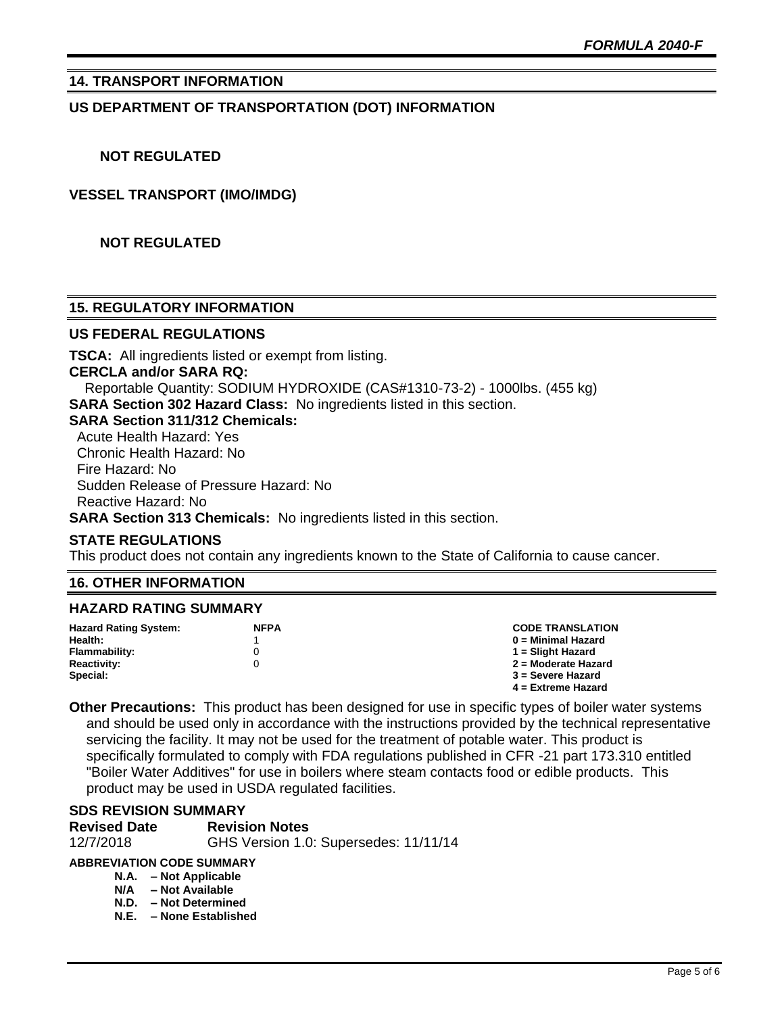#### **14. TRANSPORT INFORMATION**

#### **US DEPARTMENT OF TRANSPORTATION (DOT) INFORMATION**

#### **NOT REGULATED**

#### **VESSEL TRANSPORT (IMO/IMDG)**

#### **NOT REGULATED**

#### **15. REGULATORY INFORMATION**

#### **US FEDERAL REGULATIONS**

**TSCA:** All ingredients listed or exempt from listing. **CERCLA and/or SARA RQ:**  Reportable Quantity: SODIUM HYDROXIDE (CAS#1310-73-2) - 1000lbs. (455 kg) **SARA Section 302 Hazard Class:** No ingredients listed in this section. **SARA Section 311/312 Chemicals:**  Acute Health Hazard: Yes Chronic Health Hazard: No Fire Hazard: No Sudden Release of Pressure Hazard: No Reactive Hazard: No **SARA Section 313 Chemicals:** No ingredients listed in this section.

#### **STATE REGULATIONS**

This product does not contain any ingredients known to the State of California to cause cancer.

#### **16. OTHER INFORMATION**

#### **HAZARD RATING SUMMARY**

| <b>Hazard Rating System:</b> | <b>NFPA</b> | <b>CODE TRANSLATION</b> |
|------------------------------|-------------|-------------------------|
| Health:                      |             | 0 = Minimal Hazard      |
| Flammability:                |             | 1 = Slight Hazard       |
| <b>Reactivity:</b>           |             | 2 = Moderate Hazard     |
| Special:                     |             | 3 = Severe Hazard       |
|                              |             | $4 =$ Extreme Hazard    |

**Other Precautions:** This product has been designed for use in specific types of boiler water systems and should be used only in accordance with the instructions provided by the technical representative servicing the facility. It may not be used for the treatment of potable water. This product is specifically formulated to comply with FDA regulations published in CFR -21 part 173.310 entitled "Boiler Water Additives" for use in boilers where steam contacts food or edible products. This product may be used in USDA regulated facilities.

#### **SDS REVISION SUMMARY**

| <b>Revised Date</b> | <b>Revision Notes</b>                 |
|---------------------|---------------------------------------|
| 12/7/2018           | GHS Version 1.0: Supersedes: 11/11/14 |

#### **ABBREVIATION CODE SUMMARY**

- **N.A. – Not Applicable**
- **N/A – Not Available**
- **N.D. – Not Determined N.E. – None Established**
	-